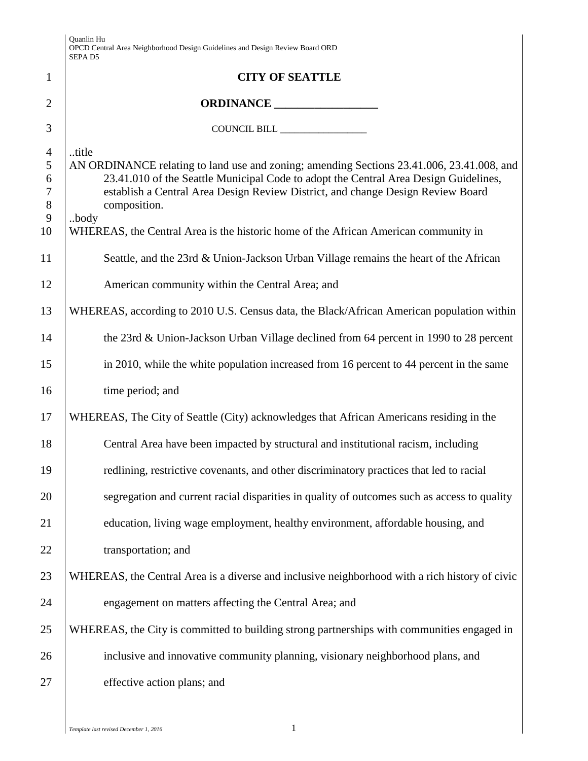|                                                        | Quanlin Hu<br>OPCD Central Area Neighborhood Design Guidelines and Design Review Board ORD<br>SEPA <sub>D5</sub>                                                                                                                                                                                                                                                                             |
|--------------------------------------------------------|----------------------------------------------------------------------------------------------------------------------------------------------------------------------------------------------------------------------------------------------------------------------------------------------------------------------------------------------------------------------------------------------|
| $\mathbf{1}$                                           | <b>CITY OF SEATTLE</b>                                                                                                                                                                                                                                                                                                                                                                       |
| $\overline{2}$                                         |                                                                                                                                                                                                                                                                                                                                                                                              |
| 3                                                      | COUNCIL BILL _________________                                                                                                                                                                                                                                                                                                                                                               |
| $\overline{4}$<br>5<br>6<br>$\tau$<br>$8\,$<br>9<br>10 | title<br>AN ORDINANCE relating to land use and zoning; amending Sections 23.41.006, 23.41.008, and<br>23.41.010 of the Seattle Municipal Code to adopt the Central Area Design Guidelines,<br>establish a Central Area Design Review District, and change Design Review Board<br>composition.<br>body<br>WHEREAS, the Central Area is the historic home of the African American community in |
| 11                                                     | Seattle, and the 23rd & Union-Jackson Urban Village remains the heart of the African                                                                                                                                                                                                                                                                                                         |
| 12                                                     | American community within the Central Area; and                                                                                                                                                                                                                                                                                                                                              |
| 13                                                     | WHEREAS, according to 2010 U.S. Census data, the Black/African American population within                                                                                                                                                                                                                                                                                                    |
| 14                                                     | the 23rd & Union-Jackson Urban Village declined from 64 percent in 1990 to 28 percent                                                                                                                                                                                                                                                                                                        |
| 15                                                     | in 2010, while the white population increased from 16 percent to 44 percent in the same                                                                                                                                                                                                                                                                                                      |
| 16                                                     | time period; and                                                                                                                                                                                                                                                                                                                                                                             |
| 17                                                     | WHEREAS, The City of Seattle (City) acknowledges that African Americans residing in the                                                                                                                                                                                                                                                                                                      |
| 18                                                     | Central Area have been impacted by structural and institutional racism, including                                                                                                                                                                                                                                                                                                            |
| 19                                                     | redlining, restrictive covenants, and other discriminatory practices that led to racial                                                                                                                                                                                                                                                                                                      |
| 20                                                     | segregation and current racial disparities in quality of outcomes such as access to quality                                                                                                                                                                                                                                                                                                  |
| 21                                                     | education, living wage employment, healthy environment, affordable housing, and                                                                                                                                                                                                                                                                                                              |
| 22                                                     | transportation; and                                                                                                                                                                                                                                                                                                                                                                          |
| 23                                                     | WHEREAS, the Central Area is a diverse and inclusive neighborhood with a rich history of civic                                                                                                                                                                                                                                                                                               |
| 24                                                     | engagement on matters affecting the Central Area; and                                                                                                                                                                                                                                                                                                                                        |
| 25                                                     | WHEREAS, the City is committed to building strong partnerships with communities engaged in                                                                                                                                                                                                                                                                                                   |
| 26                                                     | inclusive and innovative community planning, visionary neighborhood plans, and                                                                                                                                                                                                                                                                                                               |
| 27                                                     | effective action plans; and                                                                                                                                                                                                                                                                                                                                                                  |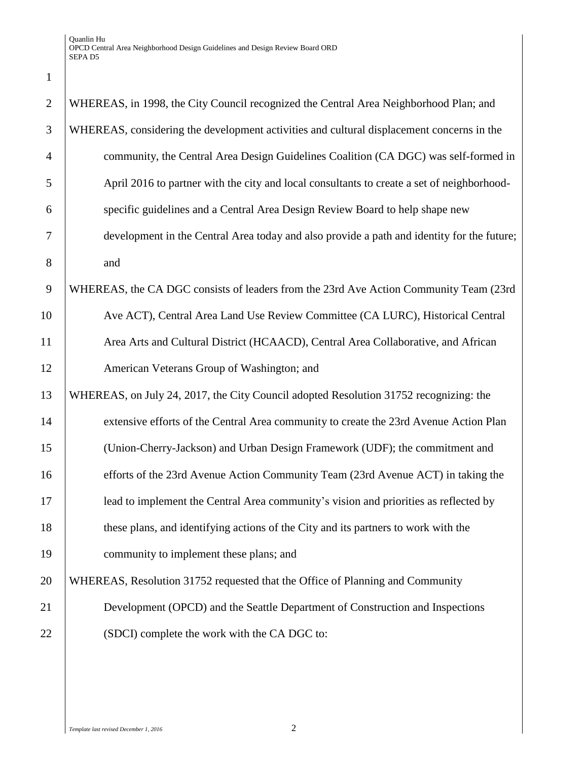| $\mathbf{1}$   |                                                                                            |
|----------------|--------------------------------------------------------------------------------------------|
| $\overline{2}$ | WHEREAS, in 1998, the City Council recognized the Central Area Neighborhood Plan; and      |
| 3              | WHEREAS, considering the development activities and cultural displacement concerns in the  |
| $\overline{4}$ | community, the Central Area Design Guidelines Coalition (CA DGC) was self-formed in        |
| 5              | April 2016 to partner with the city and local consultants to create a set of neighborhood- |
| 6              | specific guidelines and a Central Area Design Review Board to help shape new               |
| $\overline{7}$ | development in the Central Area today and also provide a path and identity for the future; |
| 8              | and                                                                                        |
| 9              | WHEREAS, the CA DGC consists of leaders from the 23rd Ave Action Community Team (23rd      |
| 10             | Ave ACT), Central Area Land Use Review Committee (CA LURC), Historical Central             |
| 11             | Area Arts and Cultural District (HCAACD), Central Area Collaborative, and African          |
| 12             | American Veterans Group of Washington; and                                                 |
| 13             | WHEREAS, on July 24, 2017, the City Council adopted Resolution 31752 recognizing: the      |
| 14             | extensive efforts of the Central Area community to create the 23rd Avenue Action Plan      |
| 15             | (Union-Cherry-Jackson) and Urban Design Framework (UDF); the commitment and                |
| 16             | efforts of the 23rd Avenue Action Community Team (23rd Avenue ACT) in taking the           |
| 17             | lead to implement the Central Area community's vision and priorities as reflected by       |
| 18             | these plans, and identifying actions of the City and its partners to work with the         |
| 19             | community to implement these plans; and                                                    |
| 20             | WHEREAS, Resolution 31752 requested that the Office of Planning and Community              |
| 21             | Development (OPCD) and the Seattle Department of Construction and Inspections              |
| 22             | (SDCI) complete the work with the CA DGC to:                                               |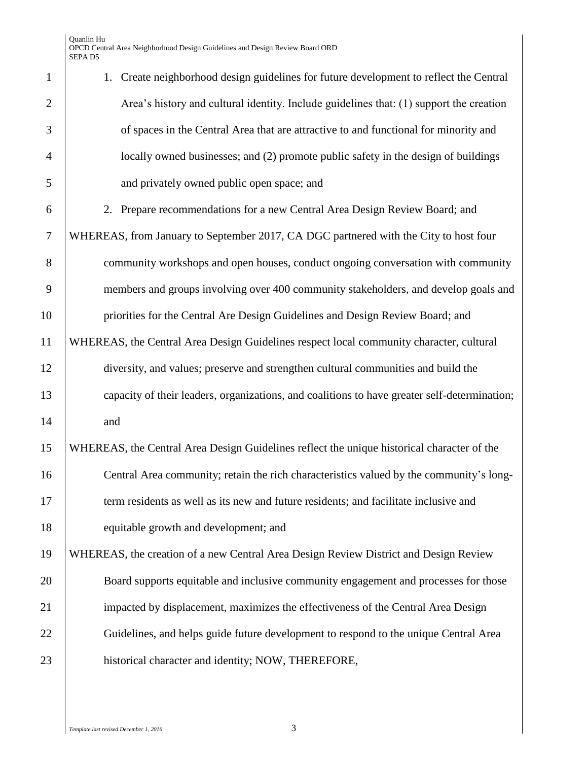| $\mathbf{1}$   | 1. Create neighborhood design guidelines for future development to reflect the Central       |
|----------------|----------------------------------------------------------------------------------------------|
| $\overline{2}$ | Area's history and cultural identity. Include guidelines that: (1) support the creation      |
| 3              | of spaces in the Central Area that are attractive to and functional for minority and         |
| $\overline{4}$ | locally owned businesses; and (2) promote public safety in the design of buildings           |
| 5              | and privately owned public open space; and                                                   |
| 6              | 2. Prepare recommendations for a new Central Area Design Review Board; and                   |
| $\overline{7}$ | WHEREAS, from January to September 2017, CA DGC partnered with the City to host four         |
| 8              | community workshops and open houses, conduct ongoing conversation with community             |
| 9              | members and groups involving over 400 community stakeholders, and develop goals and          |
| 10             | priorities for the Central Are Design Guidelines and Design Review Board; and                |
| 11             | WHEREAS, the Central Area Design Guidelines respect local community character, cultural      |
| 12             | diversity, and values; preserve and strengthen cultural communities and build the            |
| 13             | capacity of their leaders, organizations, and coalitions to have greater self-determination; |
| 14             | and                                                                                          |
| 15             | WHEREAS, the Central Area Design Guidelines reflect the unique historical character of the   |
| 16             | Central Area community; retain the rich characteristics valued by the community's long-      |
| 17             | term residents as well as its new and future residents; and facilitate inclusive and         |
| 18             | equitable growth and development; and                                                        |
| 19             | WHEREAS, the creation of a new Central Area Design Review District and Design Review         |
| 20             | Board supports equitable and inclusive community engagement and processes for those          |
| 21             | impacted by displacement, maximizes the effectiveness of the Central Area Design             |
| 22             | Guidelines, and helps guide future development to respond to the unique Central Area         |
| 23             | historical character and identity; NOW, THEREFORE,                                           |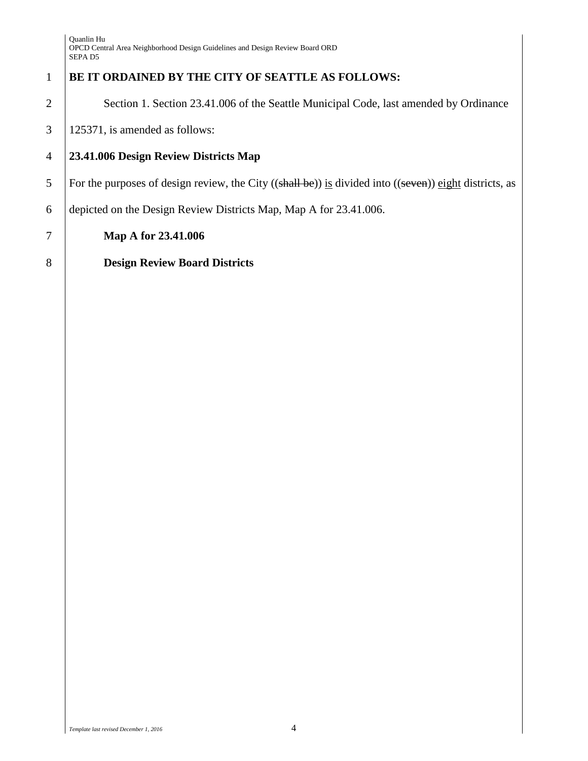## 1 **BE IT ORDAINED BY THE CITY OF SEATTLE AS FOLLOWS:**

2 | Section 1. Section 23.41.006 of the Seattle Municipal Code, last amended by Ordinance

 $3 \mid 125371$ , is amended as follows:

### 4 **23.41.006 Design Review Districts Map**

5 For the purposes of design review, the City ((shall be)) is divided into ((seven)) eight districts, as

6 depicted on the Design Review Districts Map, Map A for [23.41.006.](https://library.municode.com/wa/seattle/codes/municipal_code?nodeId=TIT23LAUSCO_SUBTITLE_IIILAUSRE_CH23.41DERE_PTIDERE_23.41.006DEREDIMA)

7 **Map A for 23.41.006** 

8 **Design Review Board Districts**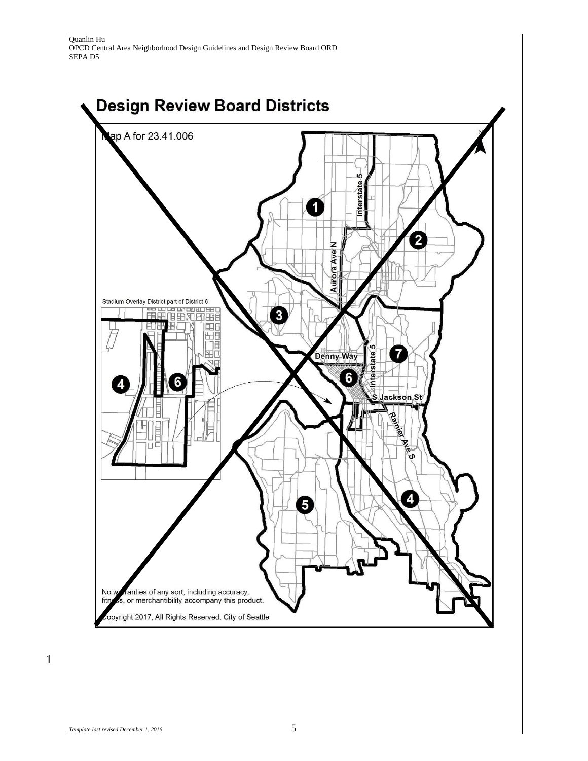Quanlin Hu OPCD Central Area Neighborhood Design Guidelines and Design Review Board ORD SEPA D5



1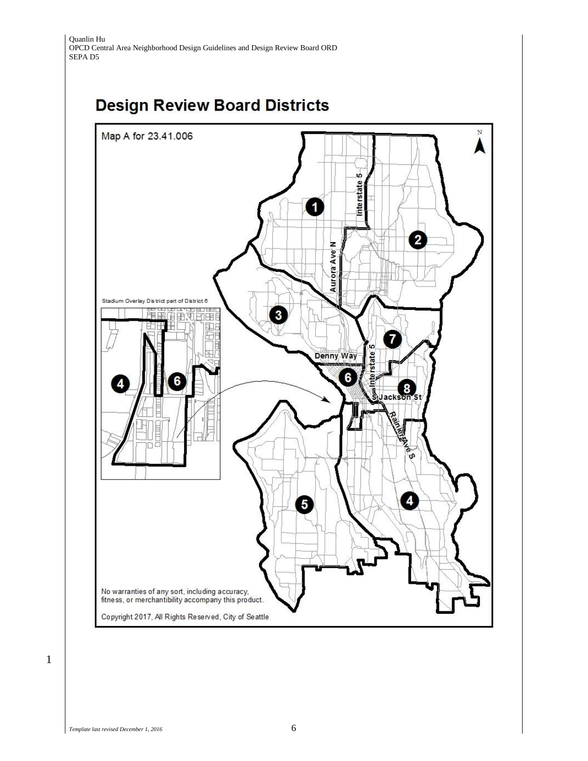# **Design Review Board Districts**

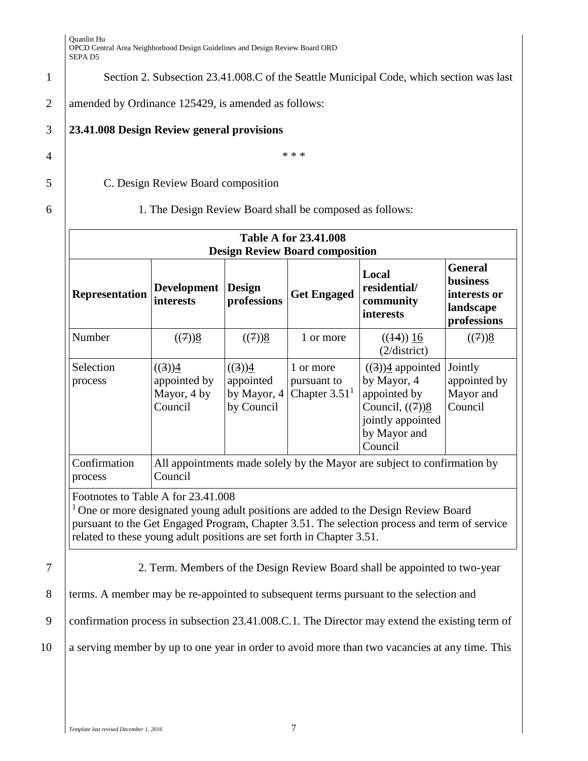1 Section 2. Subsection 23.41.008.C of the Seattle Municipal Code, which section was last

2 amended by Ordinance 125429, is amended as follows:

## 3 **23.41.008 Design Review general provisions**

 $4 \mid$  \*\*\*

5 C. Design Review Board composition

#### 6 1. The Design Review Board shall be composed as follows:

| <b>Table A for 23.41.008</b><br><b>Design Review Board composition</b>                                                                                                                                                                                                                               |                                                  |                                                  |                                             |                                                                                                                                                |                                                                               |
|------------------------------------------------------------------------------------------------------------------------------------------------------------------------------------------------------------------------------------------------------------------------------------------------------|--------------------------------------------------|--------------------------------------------------|---------------------------------------------|------------------------------------------------------------------------------------------------------------------------------------------------|-------------------------------------------------------------------------------|
| <b>Representation</b>                                                                                                                                                                                                                                                                                | Development<br><b>interests</b>                  | <b>Design</b><br>professions                     | <b>Get Engaged</b>                          | Local<br>residential/<br>community<br>interests                                                                                                | <b>General</b><br><b>business</b><br>interests or<br>landscape<br>professions |
| Number                                                                                                                                                                                                                                                                                               | $((7))\underline{8}$                             | $((7))\underline{8}$                             | 1 or more                                   | $((14))$ 16<br>(2/district)                                                                                                                    | ((7))8                                                                        |
| Selection<br>process                                                                                                                                                                                                                                                                                 | ((3))4<br>appointed by<br>Mayor, 4 by<br>Council | ((3))4<br>appointed<br>by Mayor, 4<br>by Council | 1 or more<br>pursuant to<br>Chapter $3.511$ | $((3))\underline{4}$ appointed<br>by Mayor, 4<br>appointed by<br>Council, $((7))$ <sup>8</sup><br>jointly appointed<br>by Mayor and<br>Council | Jointly<br>appointed by<br>Mayor and<br>Council                               |
| Confirmation<br>process                                                                                                                                                                                                                                                                              | Council                                          |                                                  |                                             | All appointments made solely by the Mayor are subject to confirmation by                                                                       |                                                                               |
| Footnotes to Table A for 23.41.008<br>$1$ One or more designated young adult positions are added to the Design Review Board<br>pursuant to the Get Engaged Program, Chapter 3.51. The selection process and term of service<br>related to these young adult positions are set forth in Chapter 3.51. |                                                  |                                                  |                                             |                                                                                                                                                |                                                                               |
|                                                                                                                                                                                                                                                                                                      |                                                  |                                                  |                                             | 2. Term. Members of the Design Review Board shall be appointed to two-year                                                                     |                                                                               |
|                                                                                                                                                                                                                                                                                                      |                                                  |                                                  |                                             | terms. A member may be re-appointed to subsequent terms pursuant to the selection and                                                          |                                                                               |
|                                                                                                                                                                                                                                                                                                      |                                                  |                                                  |                                             | confirmation process in subsection 23.41.008.C.1. The Director may extend the existing term of                                                 |                                                                               |
|                                                                                                                                                                                                                                                                                                      |                                                  |                                                  |                                             | a serving member by up to one year in order to avoid more than two vacancies at any time. This                                                 |                                                                               |
|                                                                                                                                                                                                                                                                                                      |                                                  |                                                  |                                             |                                                                                                                                                |                                                                               |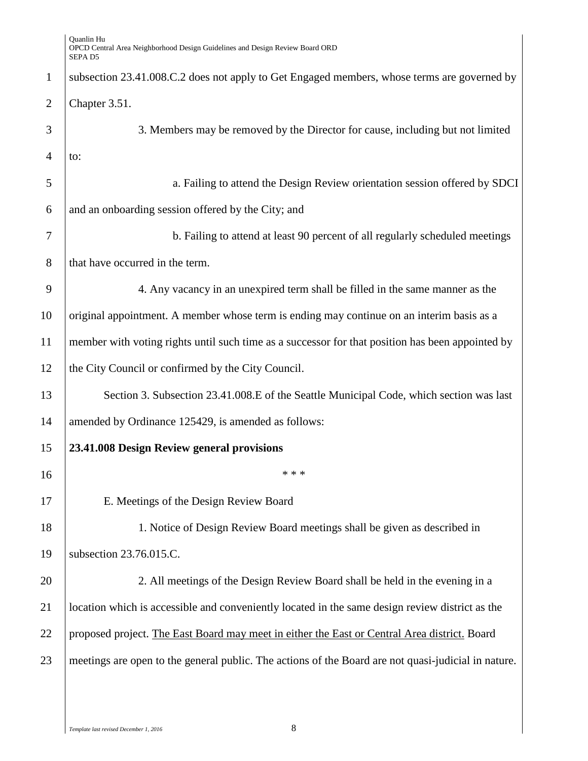| $\mathbf{1}$   | subsection 23.41.008.C.2 does not apply to Get Engaged members, whose terms are governed by         |
|----------------|-----------------------------------------------------------------------------------------------------|
| $\overline{2}$ | Chapter 3.51.                                                                                       |
| 3              | 3. Members may be removed by the Director for cause, including but not limited                      |
| 4              | to:                                                                                                 |
| 5              | a. Failing to attend the Design Review orientation session offered by SDCI                          |
| 6              | and an onboarding session offered by the City; and                                                  |
| 7              | b. Failing to attend at least 90 percent of all regularly scheduled meetings                        |
| 8              | that have occurred in the term.                                                                     |
| 9              | 4. Any vacancy in an unexpired term shall be filled in the same manner as the                       |
| 10             | original appointment. A member whose term is ending may continue on an interim basis as a           |
| 11             | member with voting rights until such time as a successor for that position has been appointed by    |
| 12             | the City Council or confirmed by the City Council.                                                  |
| 13             | Section 3. Subsection 23.41.008.E of the Seattle Municipal Code, which section was last             |
| 14             | amended by Ordinance 125429, is amended as follows:                                                 |
| 15             | 23.41.008 Design Review general provisions                                                          |
| 16             | * * *                                                                                               |
| 17             | E. Meetings of the Design Review Board                                                              |
| 18             | 1. Notice of Design Review Board meetings shall be given as described in                            |
| 19             | subsection 23.76.015.C.                                                                             |
| 20             | 2. All meetings of the Design Review Board shall be held in the evening in a                        |
| 21             | location which is accessible and conveniently located in the same design review district as the     |
| 22             | proposed project. The East Board may meet in either the East or Central Area district. Board        |
| 23             | meetings are open to the general public. The actions of the Board are not quasi-judicial in nature. |
|                |                                                                                                     |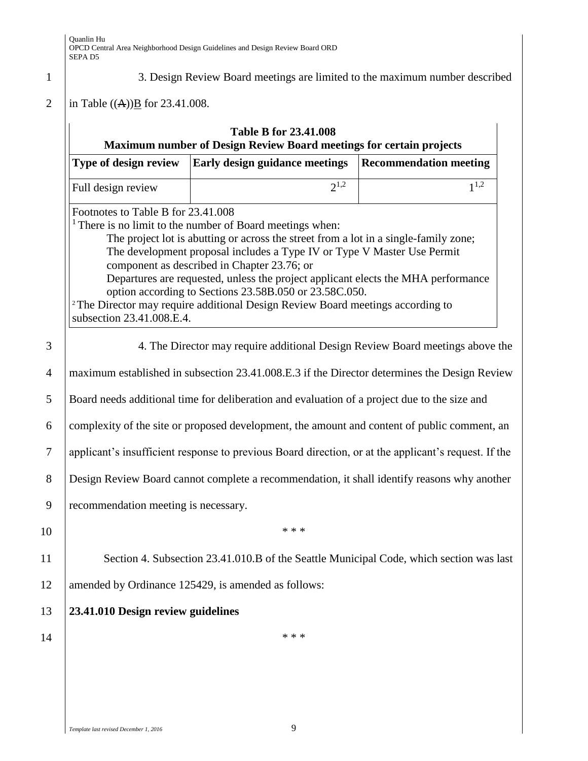#### 1 3. Design Review Board meetings are limited to the maximum number described

#### 2 | in Table ((A)) $\underline{B}$  for 23.41.008.

|                                                                                                                                                                                                                                                                                                                                                                                                                                                                                                                                                                                                        | Type of design review                               | Early design guidance meetings                                                          | <b>Recommendation meeting</b> |
|--------------------------------------------------------------------------------------------------------------------------------------------------------------------------------------------------------------------------------------------------------------------------------------------------------------------------------------------------------------------------------------------------------------------------------------------------------------------------------------------------------------------------------------------------------------------------------------------------------|-----------------------------------------------------|-----------------------------------------------------------------------------------------|-------------------------------|
|                                                                                                                                                                                                                                                                                                                                                                                                                                                                                                                                                                                                        | Full design review                                  | $2^{1,2}$                                                                               | $1^{1,2}$                     |
| Footnotes to Table B for 23.41.008<br><sup>1</sup> There is no limit to the number of Board meetings when:<br>The project lot is abutting or across the street from a lot in a single-family zone;<br>The development proposal includes a Type IV or Type V Master Use Permit<br>component as described in Chapter 23.76; or<br>Departures are requested, unless the project applicant elects the MHA performance<br>option according to Sections 23.58B.050 or 23.58C.050.<br><sup>2</sup> The Director may require additional Design Review Board meetings according to<br>subsection 23.41.008.E.4. |                                                     |                                                                                         |                               |
| 4. The Director may require additional Design Review Board meetings above the                                                                                                                                                                                                                                                                                                                                                                                                                                                                                                                          |                                                     |                                                                                         |                               |
| maximum established in subsection 23.41.008.E.3 if the Director determines the Design Review                                                                                                                                                                                                                                                                                                                                                                                                                                                                                                           |                                                     |                                                                                         |                               |
| Board needs additional time for deliberation and evaluation of a project due to the size and                                                                                                                                                                                                                                                                                                                                                                                                                                                                                                           |                                                     |                                                                                         |                               |
| complexity of the site or proposed development, the amount and content of public comment, an                                                                                                                                                                                                                                                                                                                                                                                                                                                                                                           |                                                     |                                                                                         |                               |
| applicant's insufficient response to previous Board direction, or at the applicant's request. If the                                                                                                                                                                                                                                                                                                                                                                                                                                                                                                   |                                                     |                                                                                         |                               |
| Design Review Board cannot complete a recommendation, it shall identify reasons why another                                                                                                                                                                                                                                                                                                                                                                                                                                                                                                            |                                                     |                                                                                         |                               |
|                                                                                                                                                                                                                                                                                                                                                                                                                                                                                                                                                                                                        | recommendation meeting is necessary.                |                                                                                         |                               |
|                                                                                                                                                                                                                                                                                                                                                                                                                                                                                                                                                                                                        |                                                     | * * *                                                                                   |                               |
|                                                                                                                                                                                                                                                                                                                                                                                                                                                                                                                                                                                                        |                                                     | Section 4. Subsection 23.41.010.B of the Seattle Municipal Code, which section was last |                               |
|                                                                                                                                                                                                                                                                                                                                                                                                                                                                                                                                                                                                        | amended by Ordinance 125429, is amended as follows: |                                                                                         |                               |
|                                                                                                                                                                                                                                                                                                                                                                                                                                                                                                                                                                                                        | 23.41.010 Design review guidelines                  |                                                                                         |                               |
|                                                                                                                                                                                                                                                                                                                                                                                                                                                                                                                                                                                                        |                                                     |                                                                                         |                               |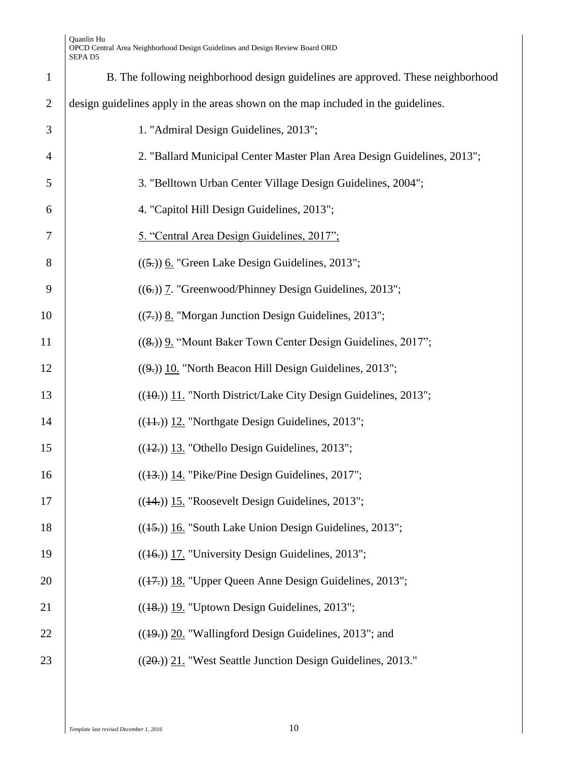| B. The following neighborhood design guidelines are approved. These neighborhood  |
|-----------------------------------------------------------------------------------|
| design guidelines apply in the areas shown on the map included in the guidelines. |
| 1. "Admiral Design Guidelines, 2013";                                             |
| 2. "Ballard Municipal Center Master Plan Area Design Guidelines, 2013";           |
| 3. "Belltown Urban Center Village Design Guidelines, 2004";                       |
| 4. "Capitol Hill Design Guidelines, 2013";                                        |
| 5. "Central Area Design Guidelines, 2017";                                        |
| $((5))$ 6. "Green Lake Design Guidelines, 2013";                                  |
| $((6))$ 7. "Greenwood/Phinney Design Guidelines, 2013";                           |
| $((7.))$ 8. "Morgan Junction Design Guidelines, 2013";                            |
| ((8.)) 9. "Mount Baker Town Center Design Guidelines, 2017";                      |
| $((9.))$ 10. "North Beacon Hill Design Guidelines, 2013";                         |
| $((40))$ 11. "North District/Lake City Design Guidelines, 2013";                  |
| $((11))$ 12. "Northgate Design Guidelines, 2013";                                 |
| $((12))$ 13. "Othello Design Guidelines, 2013";                                   |
| $((13))$ 14. "Pike/Pine Design Guidelines, 2017";                                 |
| $((14))$ 15. "Roosevelt Design Guidelines, 2013";                                 |
| $((15))$ 16. "South Lake Union Design Guidelines, 2013";                          |
| $((16.))$ 17. "University Design Guidelines, 2013";                               |
| $((17))$ 18. "Upper Queen Anne Design Guidelines, 2013";                          |
| $((18))$ 19. "Uptown Design Guidelines, 2013";                                    |
| $((19))$ 20. "Wallingford Design Guidelines, 2013"; and                           |
| ((20.)) 21. "West Seattle Junction Design Guidelines, 2013."                      |
|                                                                                   |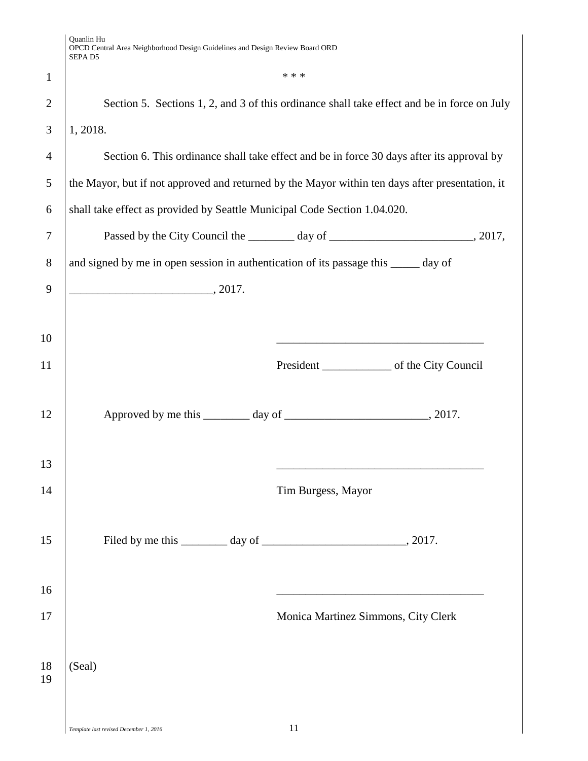|                | Quanlin Hu<br>OPCD Central Area Neighborhood Design Guidelines and Design Review Board ORD<br>SEPA <sub>D5</sub> |
|----------------|------------------------------------------------------------------------------------------------------------------|
| $\mathbf{1}$   | * * *                                                                                                            |
| $\overline{2}$ | Section 5. Sections 1, 2, and 3 of this ordinance shall take effect and be in force on July                      |
| 3              | 1, 2018.                                                                                                         |
| 4              | Section 6. This ordinance shall take effect and be in force 30 days after its approval by                        |
| 5              | the Mayor, but if not approved and returned by the Mayor within ten days after presentation, it                  |
| 6              | shall take effect as provided by Seattle Municipal Code Section 1.04.020.                                        |
| 7              |                                                                                                                  |
| 8              | and signed by me in open session in authentication of its passage this _____ day of                              |
| 9              | $\sim$ 2017.                                                                                                     |
|                |                                                                                                                  |
| 10             |                                                                                                                  |
| 11             |                                                                                                                  |
|                |                                                                                                                  |
| 12             |                                                                                                                  |
|                |                                                                                                                  |
| 13<br>14       |                                                                                                                  |
|                | Tim Burgess, Mayor                                                                                               |
| 15             |                                                                                                                  |
|                |                                                                                                                  |
| 16             |                                                                                                                  |
| 17             | Monica Martinez Simmons, City Clerk                                                                              |
|                |                                                                                                                  |
| 18<br>19       | (Seal)                                                                                                           |
|                |                                                                                                                  |
|                |                                                                                                                  |